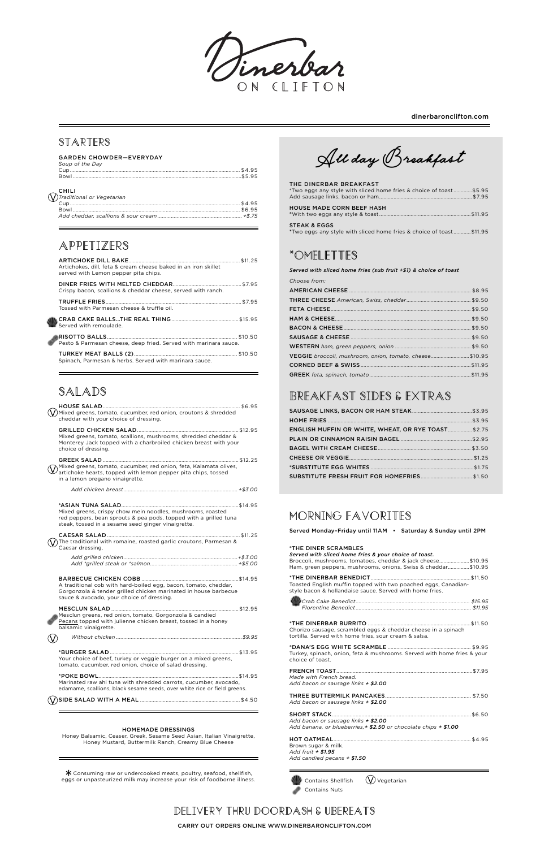### **Starters**

|                                     | <b>GARDEN CHOWDER-EVERYDAY</b> |
|-------------------------------------|--------------------------------|
| $C = \ldots = C + L$ . $D = \ldots$ |                                |

| Soup of the Day                     |  |
|-------------------------------------|--|
|                                     |  |
| <b>CHILI</b>                        |  |
| $\bigvee$ Traditional or Vegetarian |  |
|                                     |  |
|                                     |  |
|                                     |  |

## **Appetizers**

| Artichokes, dill, feta & cream cheese baked in an iron skillet<br>served with Lemon pepper pita chips. |  |
|--------------------------------------------------------------------------------------------------------|--|
| Crispy bacon, scallions & cheddar cheese, served with ranch.                                           |  |
| Tossed with Parmesan cheese & truffle oil.                                                             |  |
|                                                                                                        |  |
| Pesto & Parmesan cheese, deep fried. Served with marinara sauce.                                       |  |
| Spinach, Parmesan & herbs. Served with marinara sauce.                                                 |  |

# **Salads**

Mesclun greens, red onion, tomato, Gorgonzola & candied Pecans topped with julienne chicken breast, tossed in a honey

Marinated raw ahi tuna with shredded carrots, cucumber, avocado, edamame, scallions, black sesame seeds, over white rice or field greens.

 $*$  Consuming raw or undercooked meats, poultry, seafood, shellfish, eggs or unpasteurized milk may increase your risk of foodborne illness.

| Mixed greens, tomato, cucumber, red onion, croutons & shredded<br>cheddar with your choice of dressing.                                                                              |  |
|--------------------------------------------------------------------------------------------------------------------------------------------------------------------------------------|--|
| Mixed greens, tomato, scallions, mushrooms, shredded cheddar &<br>Monterey Jack topped with a charbroiled chicken breast with your<br>choice of dressing.                            |  |
| Mixed greens, tomato, cucumber, red onion, feta, Kalamata olives,<br>artichoke hearts, topped with lemon pepper pita chips, tossed<br>in a lemon oregano vinaigrette.                |  |
|                                                                                                                                                                                      |  |
| Mixed greens, crispy chow mein noodles, mushrooms, roasted<br>red peppers, bean sprouts & pea pods, topped with a grilled tuna<br>steak, tossed in a sesame seed ginger vinaigrette. |  |
| The traditional with romaine, roasted garlic croutons, Parmesan &<br>Caesar dressing.                                                                                                |  |
|                                                                                                                                                                                      |  |
| A traditional cob with hard-boiled egg, bacon, tomato, cheddar,<br>Gorgonzola & tender grilled chicken marinated in house barbecue<br>sauce & avocado, your choice of dressing.      |  |
|                                                                                                                                                                                      |  |

balsamic vinaigrette.

*Without chicken .....................................................................................\$9.95*

### \*BURGER SALAD ..........................................................................................\$13.95

Your choice of beef, turkey or veggie burger on a mixed greens, tomato, cucumber, red onion, choice of salad dressing.

### \*POKE BOWL..................................................................................................\$14.95

SIDE SALAD WITH A MEAL ...................................................................... \$4.50

#### HOMEMADE DRESSINGS

Honey Balsamic, Ceaser, Greek, Sesame Seed Asian, Italian Vinaigrette, Honey Mustard, Buttermilk Ranch, Creamy Blue Cheese

All day Breakfast

#### THE DINERBAR BREAKFAST \*Two eggs any style with sliced home fries & choice of toast .............\$5.95 Add sausage links, bacon or ham.................................................................\$7.95

| HOUSE MADE CORN BEEF HASH                                                              |  |
|----------------------------------------------------------------------------------------|--|
| STEAK & EGGS<br>$*$ Two eggs any style with sliced home fries & choice of toast\$11.95 |  |

## **\*Omelettes**

*Served with sliced home fries (sub fruit +\$1) & choice of toast* 

| Choose from:                                            |  |
|---------------------------------------------------------|--|
|                                                         |  |
|                                                         |  |
|                                                         |  |
|                                                         |  |
|                                                         |  |
|                                                         |  |
|                                                         |  |
| VEGGIE broccoli, mushroom, onion, tomato, cheese\$10.95 |  |
|                                                         |  |
|                                                         |  |

# **Breakfast Sides & Extras**

| <b>ENGLISH MUFFIN OR WHITE, WHEAT, OR RYE TOAST \$2.75</b> |  |
|------------------------------------------------------------|--|
|                                                            |  |
|                                                            |  |
|                                                            |  |
|                                                            |  |
|                                                            |  |

### **Morning favorites**

Served Monday–Friday until 11AM • Saturday & Sunday until 2PM

#### \*THE DINER SCRAMBLES

| *THE DINER SCRAMBLES                                                                                                       |  |
|----------------------------------------------------------------------------------------------------------------------------|--|
| Served with sliced home fries & your choice of toast.                                                                      |  |
| Broccoli, mushrooms, tomatoes, cheddar & jack cheese\$10.95                                                                |  |
| Ham, green peppers, mushrooms, onions, Swiss & cheddar\$10.95                                                              |  |
| Toasted English muffin topped with two poached eggs, Canadian-<br>style bacon & hollandaise sauce. Served with home fries. |  |
|                                                                                                                            |  |

| Chorizo sausage, scrambled eggs & cheddar cheese in a spinach<br>tortilla. Served with home fries, sour cream & salsa. |
|------------------------------------------------------------------------------------------------------------------------|
| Turkey, spinach, onion, feta & mushrooms. Served with home fries & your<br>choice of toast.                            |
| Made with French bread.<br>Add bacon or sausage links + \$2.00                                                         |
| Add bacon or sausage links + \$2.00                                                                                    |
| Add bacon or sausage links + \$2.00<br>Add banana, or blueberries, $\pm$ \$2.50 or chocolate chips $\pm$ \$1.00        |
| Brown sugar & milk.<br>Add fruit + \$1.95<br>Add candied pecans $+$ \$1.50                                             |





dinerbaronclifton.com

### **Delivery thru Doordash & Ubereats**

CARRY OUT ORDERS ONLINE WWW.DINERBARONCLIFTON.COM